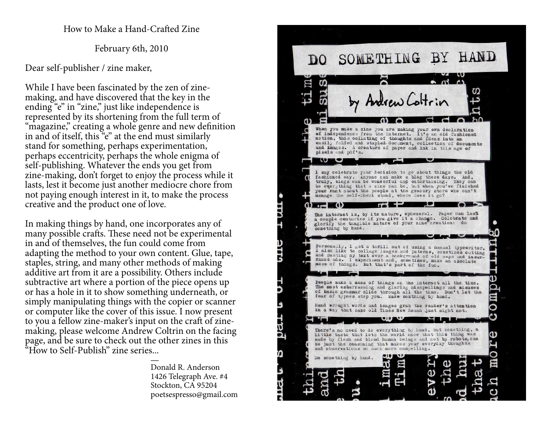How to Make a Hand-Crafted Zine

February 6th, 2010

Dear self-publisher / zine maker,

While I have been fascinated by the zen of zinemaking, and have discovered that the key in the ending "e" in "zine," just like independence is represented by its shortening from the full term of "magazine," creating a whole genre and new definition in and of itself, this "e" at the end must similarly stand for something, perhaps experimentation, perhaps eccentricity, perhaps the whole enigma of self-publishing. Whatever the ends you get from zine-making, don't forget to enjoy the process while it lasts, lest it become just another mediocre chore from not paying enough interest in it, to make the processcreative and the product one of love.

In making things by hand, one incorporates any of many possible crafts. These need not be experimental in and of themselves, the fun could come from adapting the method to your own content. Glue, tape, staples, string, and many other methods of making additive art from it are a possibility. Others include subtractive art where a portion of the piece opens up or has a hole in it to show something underneath, or simply manipulating things with the copier or scanner or computer like the cover of this issue. I now present to you a fellow zine-maker's input on the craft of zinemaking, please welcome Andrew Coltrin on the facing page, and be sure to check out the other zines in this "How to Self-Publish" zine series...

and the contract of the contract of the contract of the contract of the contract of the contract of the contract of Donald R. Anderson 1426 Telegraph Ave. #4Stockton, CA 95204poetsespresso@gmail.com